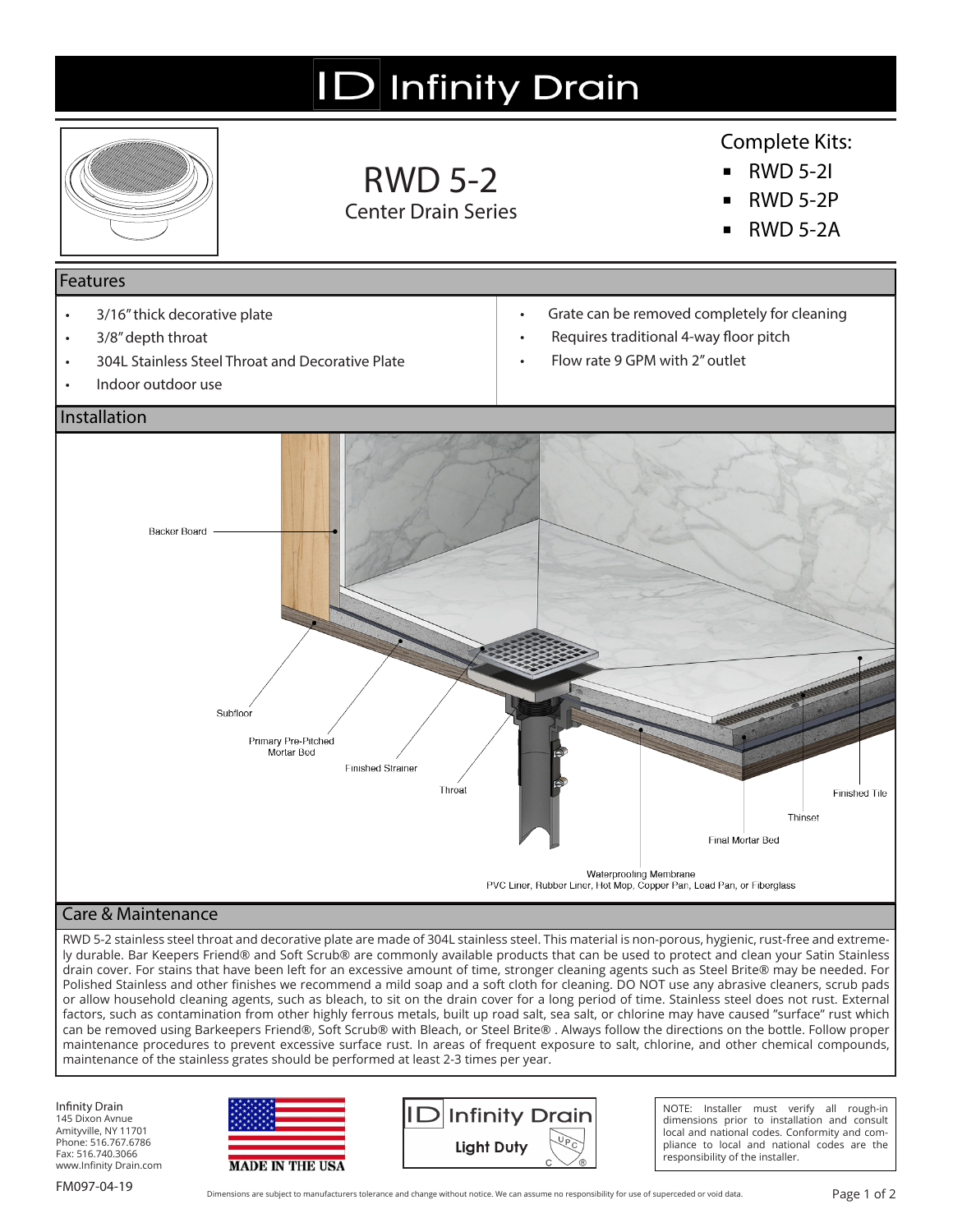# **ID** Infinity Drain



## RWD 5-2 Center Drain Series

## Complete Kits:

- **▪** RWD 5-2I
- **▪** RWD 5-2P
- **▪** RWD 5-2A

### Features

- 3/16" thick decorative plate
- 3/8" depth throat
- 304L Stainless Steel Throat and Decorative Plate
- Indoor outdoor use
- Grate can be removed completely for cleaning
- Requires traditional 4-way floor pitch
- Flow rate 9 GPM with 2" outlet



### Care & Maintenance

RWD 5-2 stainless steel throat and decorative plate are made of 304L stainless steel. This material is non-porous, hygienic, rust-free and extremely durable. Bar Keepers Friend® and Soft Scrub® are commonly available products that can be used to protect and clean your Satin Stainless drain cover. For stains that have been left for an excessive amount of time, stronger cleaning agents such as Steel Brite® may be needed. For Polished Stainless and other finishes we recommend a mild soap and a soft cloth for cleaning. DO NOT use any abrasive cleaners, scrub pads or allow household cleaning agents, such as bleach, to sit on the drain cover for a long period of time. Stainless steel does not rust. External factors, such as contamination from other highly ferrous metals, built up road salt, sea salt, or chlorine may have caused "surface" rust which can be removed using Barkeepers Friend®, Soft Scrub® with Bleach, or Steel Brite® . Always follow the directions on the bottle. Follow proper maintenance procedures to prevent excessive surface rust. In areas of frequent exposure to salt, chlorine, and other chemical compounds, maintenance of the stainless grates should be performed at least 2-3 times per year.

Infinity Drain 145 Dixon Avnue Amityville, NY 11701 Phone: 516.767.6786 Fax: 516.740.3066 www.Infinity Drain.com





NOTE: Installer must verify all rough-in dimensions prior to installation and consult local and national codes. Conformity and compliance to local and national codes are the responsibility of the installer.